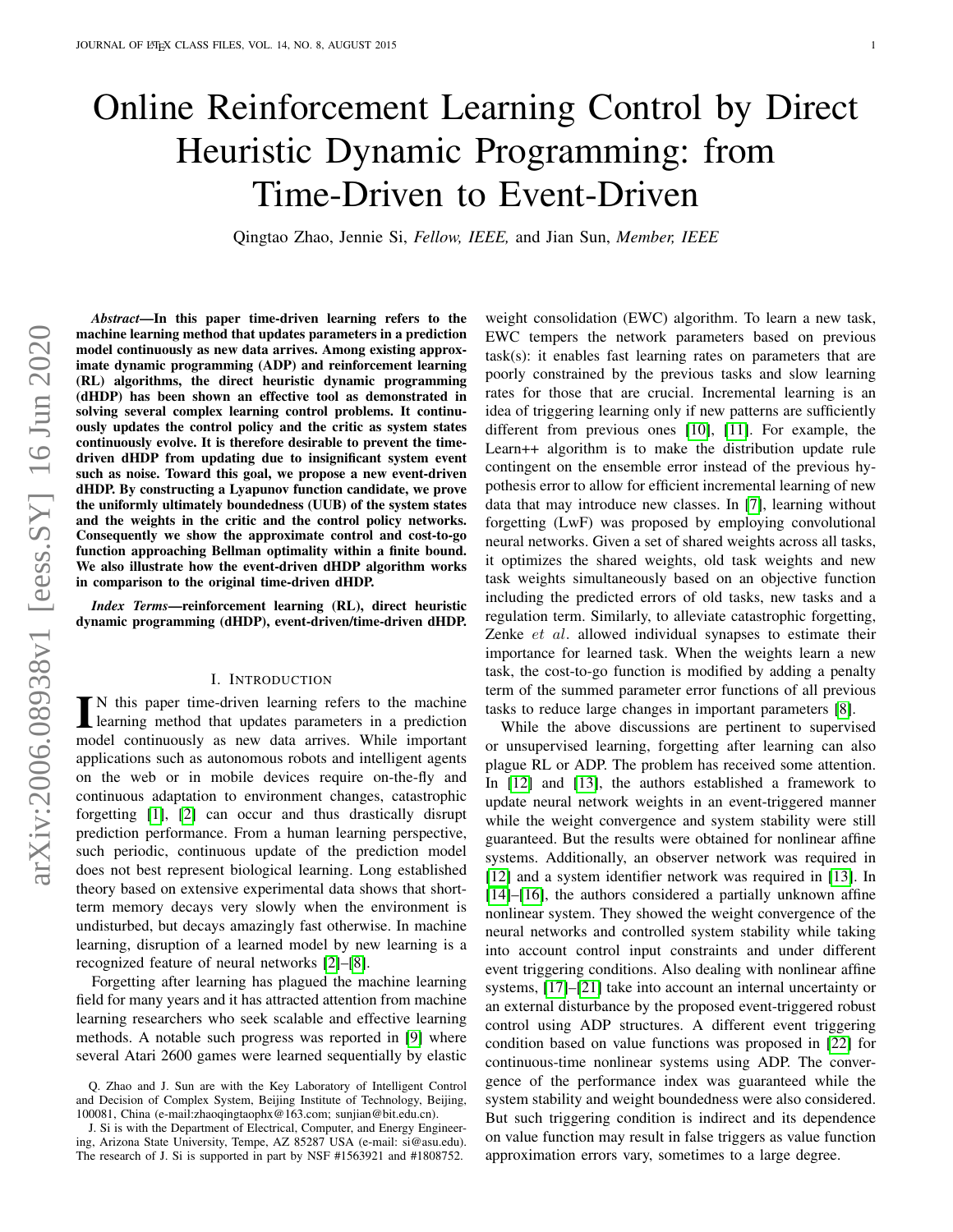# Online Reinforcement Learning Control by Direct Heuristic Dynamic Programming: from Time-Driven to Event-Driven

Qingtao Zhao, Jennie Si, *Fellow, IEEE,* and Jian Sun, *Member, IEEE*

*Abstract*—In this paper time-driven learning refers to the machine learning method that updates parameters in a prediction model continuously as new data arrives. Among existing approximate dynamic programming (ADP) and reinforcement learning (RL) algorithms, the direct heuristic dynamic programming (dHDP) has been shown an effective tool as demonstrated in solving several complex learning control problems. It continuously updates the control policy and the critic as system states continuously evolve. It is therefore desirable to prevent the timedriven dHDP from updating due to insignificant system event such as noise. Toward this goal, we propose a new event-driven dHDP. By constructing a Lyapunov function candidate, we prove the uniformly ultimately boundedness (UUB) of the system states and the weights in the critic and the control policy networks. Consequently we show the approximate control and cost-to-go function approaching Bellman optimality within a finite bound. We also illustrate how the event-driven dHDP algorithm works in comparison to the original time-driven dHDP.

*Index Terms*—reinforcement learning (RL), direct heuristic dynamic programming (dHDP), event-driven/time-driven dHDP.

## I. INTRODUCTION

IN this paper time-driven learning refers to the machine learning method that updates parameters in a prediction model continuously as new data arrives. While important N this paper time-driven learning refers to the machine learning method that updates parameters in a prediction applications such as autonomous robots and intelligent agents on the web or in mobile devices require on-the-fly and continuous adaptation to environment changes, catastrophic forgetting [\[1\]](#page-5-0), [\[2\]](#page-5-1) can occur and thus drastically disrupt prediction performance. From a human learning perspective, such periodic, continuous update of the prediction model does not best represent biological learning. Long established theory based on extensive experimental data shows that shortterm memory decays very slowly when the environment is undisturbed, but decays amazingly fast otherwise. In machine learning, disruption of a learned model by new learning is a recognized feature of neural networks [\[2\]](#page-5-1)–[\[8\]](#page-5-2).

Forgetting after learning has plagued the machine learning field for many years and it has attracted attention from machine learning researchers who seek scalable and effective learning methods. A notable such progress was reported in [\[9\]](#page-5-3) where several Atari 2600 games were learned sequentially by elastic weight consolidation (EWC) algorithm. To learn a new task, EWC tempers the network parameters based on previous task(s): it enables fast learning rates on parameters that are poorly constrained by the previous tasks and slow learning rates for those that are crucial. Incremental learning is an idea of triggering learning only if new patterns are sufficiently different from previous ones [\[10\]](#page-5-4), [\[11\]](#page-5-5). For example, the Learn++ algorithm is to make the distribution update rule contingent on the ensemble error instead of the previous hypothesis error to allow for efficient incremental learning of new data that may introduce new classes. In [\[7\]](#page-5-6), learning without forgetting (LwF) was proposed by employing convolutional neural networks. Given a set of shared weights across all tasks, it optimizes the shared weights, old task weights and new task weights simultaneously based on an objective function including the predicted errors of old tasks, new tasks and a regulation term. Similarly, to alleviate catastrophic forgetting, Zenke et al. allowed individual synapses to estimate their importance for learned task. When the weights learn a new task, the cost-to-go function is modified by adding a penalty term of the summed parameter error functions of all previous tasks to reduce large changes in important parameters [\[8\]](#page-5-2).

While the above discussions are pertinent to supervised or unsupervised learning, forgetting after learning can also plague RL or ADP. The problem has received some attention. In [\[12\]](#page-5-7) and [\[13\]](#page-5-8), the authors established a framework to update neural network weights in an event-triggered manner while the weight convergence and system stability were still guaranteed. But the results were obtained for nonlinear affine systems. Additionally, an observer network was required in [\[12\]](#page-5-7) and a system identifier network was required in [\[13\]](#page-5-8). In [\[14\]](#page-5-9)–[\[16\]](#page-5-10), the authors considered a partially unknown affine nonlinear system. They showed the weight convergence of the neural networks and controlled system stability while taking into account control input constraints and under different event triggering conditions. Also dealing with nonlinear affine systems, [\[17\]](#page-5-11)–[\[21\]](#page-5-12) take into account an internal uncertainty or an external disturbance by the proposed event-triggered robust control using ADP structures. A different event triggering condition based on value functions was proposed in [\[22\]](#page-5-13) for continuous-time nonlinear systems using ADP. The convergence of the performance index was guaranteed while the system stability and weight boundedness were also considered. But such triggering condition is indirect and its dependence on value function may result in false triggers as value function approximation errors vary, sometimes to a large degree.

Q. Zhao and J. Sun are with the Key Laboratory of Intelligent Control and Decision of Complex System, Beijing Institute of Technology, Beijing, 100081, China (e-mail:zhaoqingtaophx@163.com; sunjian@bit.edu.cn).

J. Si is with the Department of Electrical, Computer, and Energy Engineering, Arizona State University, Tempe, AZ 85287 USA (e-mail: si@asu.edu). The research of J. Si is supported in part by NSF #1563921 and #1808752.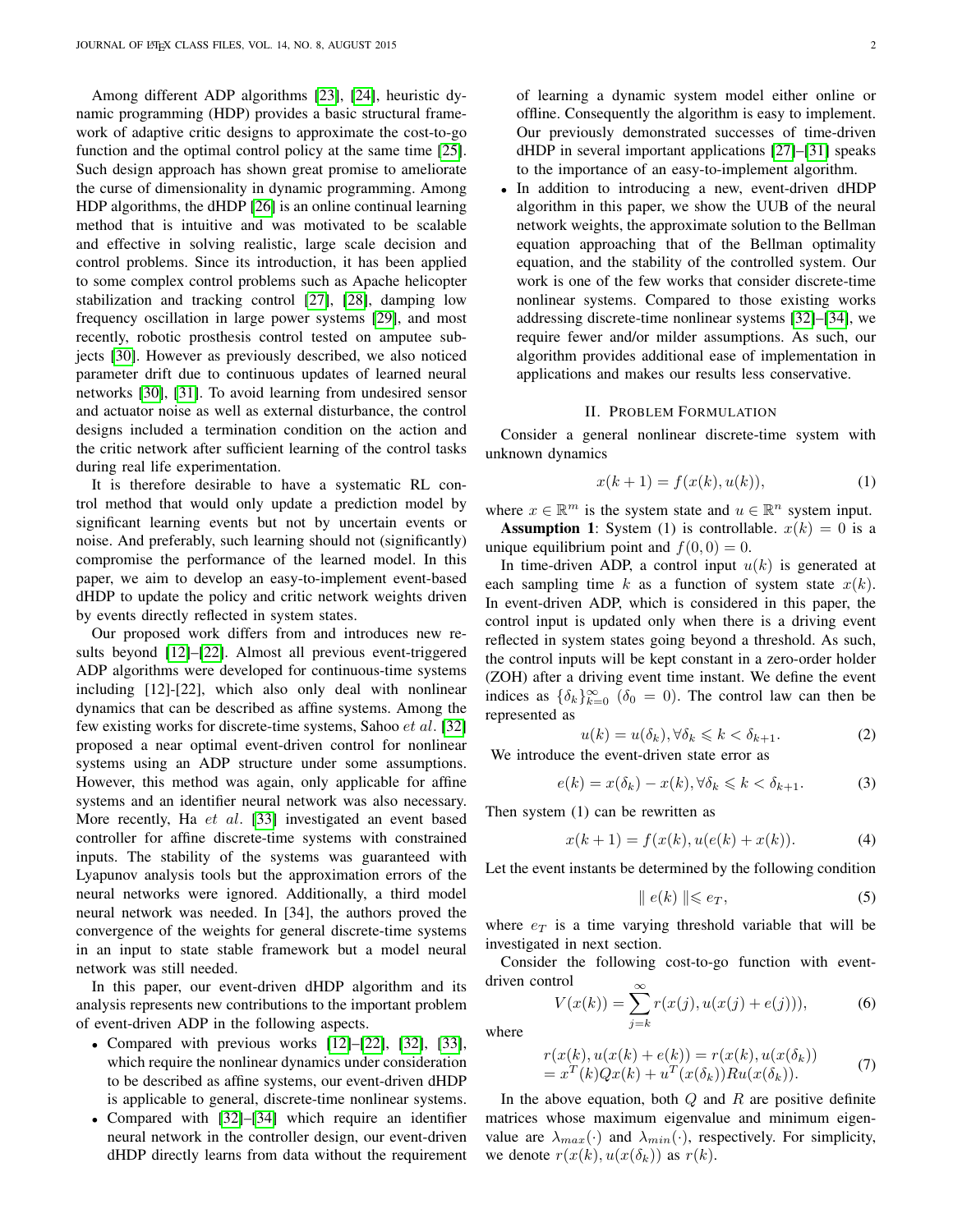Among different ADP algorithms [\[23\]](#page-5-14), [\[24\]](#page-5-15), heuristic dynamic programming (HDP) provides a basic structural framework of adaptive critic designs to approximate the cost-to-go function and the optimal control policy at the same time [\[25\]](#page-5-16). Such design approach has shown great promise to ameliorate the curse of dimensionality in dynamic programming. Among HDP algorithms, the dHDP [\[26\]](#page-5-17) is an online continual learning method that is intuitive and was motivated to be scalable and effective in solving realistic, large scale decision and control problems. Since its introduction, it has been applied to some complex control problems such as Apache helicopter stabilization and tracking control [\[27\]](#page-5-18), [\[28\]](#page-5-19), damping low frequency oscillation in large power systems [\[29\]](#page-5-20), and most recently, robotic prosthesis control tested on amputee subjects [\[30\]](#page-5-21). However as previously described, we also noticed parameter drift due to continuous updates of learned neural networks [\[30\]](#page-5-21), [\[31\]](#page-5-22). To avoid learning from undesired sensor and actuator noise as well as external disturbance, the control designs included a termination condition on the action and the critic network after sufficient learning of the control tasks during real life experimentation.

It is therefore desirable to have a systematic RL control method that would only update a prediction model by significant learning events but not by uncertain events or noise. And preferably, such learning should not (significantly) compromise the performance of the learned model. In this paper, we aim to develop an easy-to-implement event-based dHDP to update the policy and critic network weights driven by events directly reflected in system states.

Our proposed work differs from and introduces new results beyond [\[12\]](#page-5-7)–[\[22\]](#page-5-13). Almost all previous event-triggered ADP algorithms were developed for continuous-time systems including [12]-[22], which also only deal with nonlinear dynamics that can be described as affine systems. Among the few existing works for discrete-time systems, Sahoo et al. [\[32\]](#page-5-23) proposed a near optimal event-driven control for nonlinear systems using an ADP structure under some assumptions. However, this method was again, only applicable for affine systems and an identifier neural network was also necessary. More recently, Ha et al. [\[33\]](#page-6-0) investigated an event based controller for affine discrete-time systems with constrained inputs. The stability of the systems was guaranteed with Lyapunov analysis tools but the approximation errors of the neural networks were ignored. Additionally, a third model neural network was needed. In [34], the authors proved the convergence of the weights for general discrete-time systems in an input to state stable framework but a model neural network was still needed.

In this paper, our event-driven dHDP algorithm and its analysis represents new contributions to the important problem of event-driven ADP in the following aspects.

- Compared with previous works [\[12\]](#page-5-7)–[\[22\]](#page-5-13), [\[32\]](#page-5-23), [\[33\]](#page-6-0), which require the nonlinear dynamics under consideration to be described as affine systems, our event-driven dHDP is applicable to general, discrete-time nonlinear systems.
- Compared with [\[32\]](#page-5-23)–[\[34\]](#page-6-1) which require an identifier neural network in the controller design, our event-driven dHDP directly learns from data without the requirement

of learning a dynamic system model either online or offline. Consequently the algorithm is easy to implement. Our previously demonstrated successes of time-driven dHDP in several important applications [\[27\]](#page-5-18)–[\[31\]](#page-5-22) speaks to the importance of an easy-to-implement algorithm.

• In addition to introducing a new, event-driven dHDP algorithm in this paper, we show the UUB of the neural network weights, the approximate solution to the Bellman equation approaching that of the Bellman optimality equation, and the stability of the controlled system. Our work is one of the few works that consider discrete-time nonlinear systems. Compared to those existing works addressing discrete-time nonlinear systems [\[32\]](#page-5-23)–[\[34\]](#page-6-1), we require fewer and/or milder assumptions. As such, our algorithm provides additional ease of implementation in applications and makes our results less conservative.

# II. PROBLEM FORMULATION

Consider a general nonlinear discrete-time system with unknown dynamics

$$
x(k+1) = f(x(k), u(k)),
$$
 (1)

where  $x \in \mathbb{R}^m$  is the system state and  $u \in \mathbb{R}^n$  system input. **Assumption 1:** System (1) is controllable.  $x(k) = 0$  is a unique equilibrium point and  $f(0, 0) = 0$ .

In time-driven ADP, a control input  $u(k)$  is generated at each sampling time k as a function of system state  $x(k)$ . In event-driven ADP, which is considered in this paper, the control input is updated only when there is a driving event reflected in system states going beyond a threshold. As such, the control inputs will be kept constant in a zero-order holder (ZOH) after a driving event time instant. We define the event indices as  $\{\delta_k\}_{k=0}^{\infty}$  ( $\delta_0 = 0$ ). The control law can then be represented as

$$
u(k) = u(\delta_k), \forall \delta_k \leq k < \delta_{k+1}.\tag{2}
$$

We introduce the event-driven state error as

$$
e(k) = x(\delta_k) - x(k), \forall \delta_k \leq k < \delta_{k+1}.\tag{3}
$$

Then system (1) can be rewritten as

$$
x(k+1) = f(x(k), u(e(k) + x(k)).
$$
 (4)

Let the event instants be determined by the following condition

$$
\parallel e(k) \parallel \leq e_T, \tag{5}
$$

where  $e_T$  is a time varying threshold variable that will be investigated in next section.

Consider the following cost-to-go function with eventdriven control

$$
V(x(k)) = \sum_{j=k}^{\infty} r(x(j), u(x(j) + e(j))),
$$
 (6)

where

$$
r(x(k), u(x(k) + e(k)) = r(x(k), u(x(\delta_k)) = xT(k)Qx(k) + uT(x(\delta_k))Ru(x(\delta_k)).
$$
 (7)

In the above equation, both  $Q$  and  $R$  are positive definite matrices whose maximum eigenvalue and minimum eigenvalue are  $\lambda_{max}(\cdot)$  and  $\lambda_{min}(\cdot)$ , respectively. For simplicity, we denote  $r(x(k), u(x(\delta_k))$  as  $r(k)$ .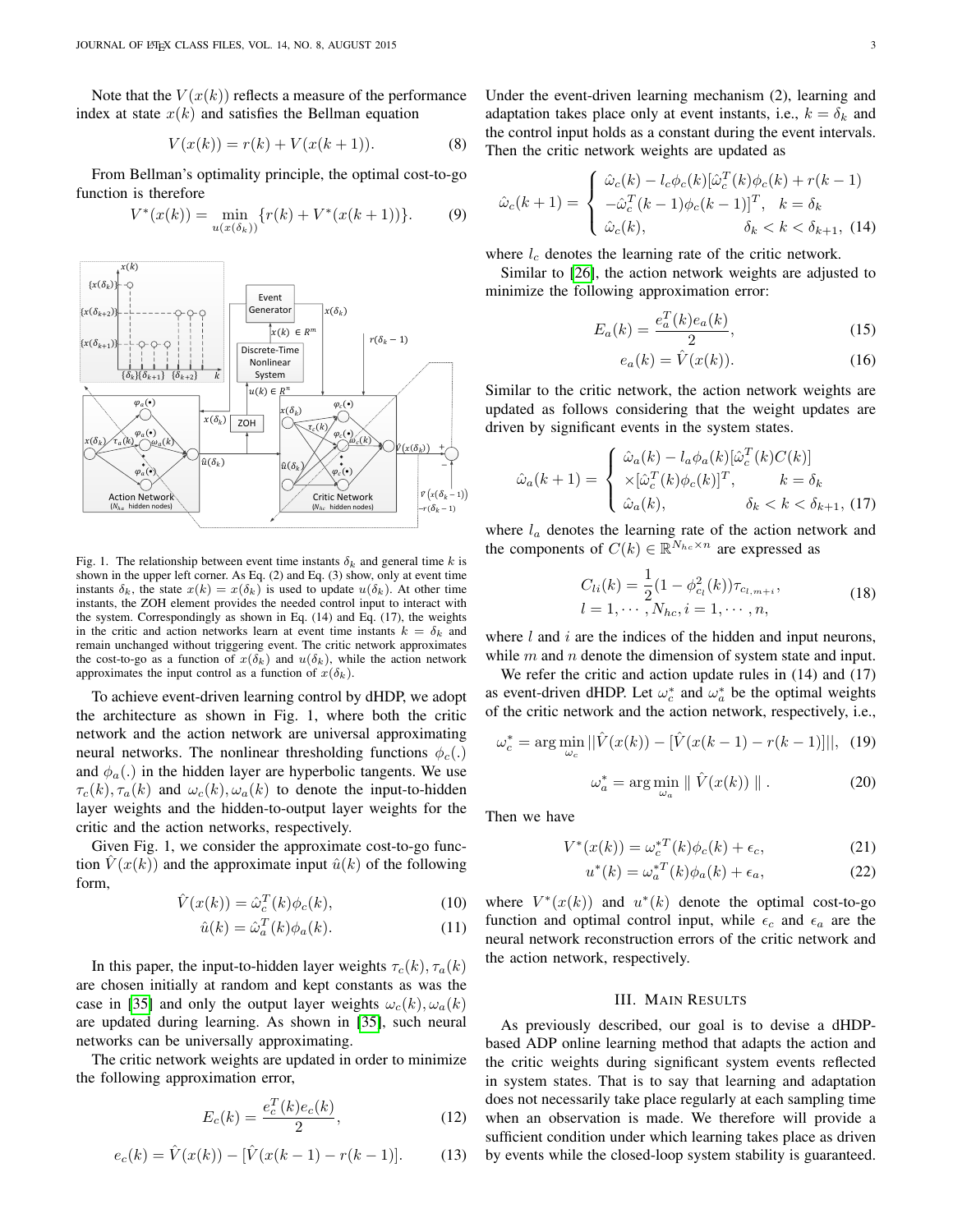Note that the  $V(x(k))$  reflects a measure of the performance index at state  $x(k)$  and satisfies the Bellman equation

$$
V(x(k)) = r(k) + V(x(k+1)).
$$
 (8)

From Bellman's optimality principle, the optimal cost-to-go function is therefore

$$
V^*(x(k)) = \min_{u(x(\delta_k))} \{r(k) + V^*(x(k+1))\}.
$$
 (9)



Fig. 1. The relationship between event time instants  $\delta_k$  and general time k is shown in the upper left corner. As Eq. (2) and Eq. (3) show, only at event time instants  $\delta_k$ , the state  $x(k) = x(\delta_k)$  is used to update  $u(\delta_k)$ . At other time instants, the ZOH element provides the needed control input to interact with the system. Correspondingly as shown in Eq. (14) and Eq. (17), the weights in the critic and action networks learn at event time instants  $k = \delta_k$  and remain unchanged without triggering event. The critic network approximates the cost-to-go as a function of  $x(\delta_k)$  and  $u(\delta_k)$ , while the action network approximates the input control as a function of  $x(\delta_k)$ .

To achieve event-driven learning control by dHDP, we adopt the architecture as shown in Fig. 1, where both the critic network and the action network are universal approximating neural networks. The nonlinear thresholding functions  $\phi_c(.)$ and  $\phi_a(.)$  in the hidden layer are hyperbolic tangents. We use  $\tau_c(k), \tau_a(k)$  and  $\omega_c(k), \omega_a(k)$  to denote the input-to-hidden layer weights and the hidden-to-output layer weights for the critic and the action networks, respectively.

Given Fig. 1, we consider the approximate cost-to-go function  $\hat{V}(x(k))$  and the approximate input  $\hat{u}(k)$  of the following form,

$$
\hat{V}(x(k)) = \hat{\omega}_c^T(k)\phi_c(k),\tag{10}
$$

$$
\hat{u}(k) = \hat{\omega}_a^T(k)\phi_a(k). \tag{11}
$$

In this paper, the input-to-hidden layer weights  $\tau_c(k)$ ,  $\tau_a(k)$ are chosen initially at random and kept constants as was the case in [\[35\]](#page-6-2) and only the output layer weights  $\omega_c(k), \omega_a(k)$ are updated during learning. As shown in [\[35\]](#page-6-2), such neural networks can be universally approximating.

The critic network weights are updated in order to minimize the following approximation error,

$$
E_c(k) = \frac{e_c^T(k)e_c(k)}{2},
$$
\n(12)

$$
e_c(k) = \hat{V}(x(k)) - [\hat{V}(x(k-1) - r(k-1)].
$$
 (13)

Under the event-driven learning mechanism (2), learning and adaptation takes place only at event instants, i.e.,  $k = \delta_k$  and the control input holds as a constant during the event intervals. Then the critic network weights are updated as

$$
\hat{\omega}_c(k+1) = \begin{cases}\n\hat{\omega}_c(k) - l_c \phi_c(k) [\hat{\omega}_c^T(k) \phi_c(k) + r(k-1) \\
-\hat{\omega}_c^T(k-1) \phi_c(k-1)]^T, & k = \delta_k \\
\hat{\omega}_c(k), & \delta_k < k < \delta_{k+1}, \text{ (14)}\n\end{cases}
$$

where  $l_c$  denotes the learning rate of the critic network.

Similar to [\[26\]](#page-5-17), the action network weights are adjusted to minimize the following approximation error:

$$
E_a(k) = \frac{e_a^T(k)e_a(k)}{2},
$$
\n(15)

$$
e_a(k) = \hat{V}(x(k)).\tag{16}
$$

Similar to the critic network, the action network weights are updated as follows considering that the weight updates are driven by significant events in the system states.

$$
\begin{aligned}\n\widehat{\omega}_{a}(k+1) &= \begin{cases}\n\widehat{\omega}_{a}(k) - l_{a}\phi_{a}(k)[\widehat{\omega}_{c}^{T}(k)C(k)] \\
\times [\widehat{\omega}_{c}^{T}(k)\phi_{c}(k)]^{T}, & k = \delta_{k} \\
\widehat{\omega}_{a}(k), & \delta_{k} < k < \delta_{k+1},\n\end{cases} \\
\end{aligned}
$$

where  $l_a$  denotes the learning rate of the action network and the components of  $C(k) \in \mathbb{R}^{N_{hc} \times n}$  are expressed as

$$
C_{li}(k) = \frac{1}{2}(1 - \phi_{c_l}^2(k))\tau_{c_{l,m+i}},
$$
  
\n
$$
l = 1, \cdots, N_{hc}, i = 1, \cdots, n,
$$
\n(18)

where  $l$  and  $i$  are the indices of the hidden and input neurons, while  $m$  and  $n$  denote the dimension of system state and input.

We refer the critic and action update rules in (14) and (17) as event-driven dHDP. Let  $\omega_c^*$  and  $\omega_a^*$  be the optimal weights of the critic network and the action network, respectively, i.e.,

$$
\omega_c^* = \arg \min_{\omega_c} ||\hat{V}(x(k)) - [\hat{V}(x(k-1) - r(k-1)]||, \text{ (19)}
$$

$$
\omega_a^* = \arg \min_{\omega_a} ||\hat{V}(x(k))||.
$$

Then we have

$$
V^*(x(k)) = \omega_c^{*T}(k)\phi_c(k) + \epsilon_c,
$$
\n(21)

$$
u^*(k) = \omega_a^{*T}(k)\phi_a(k) + \epsilon_a,\tag{22}
$$

where  $V^*(x(k))$  and  $u^*(k)$  denote the optimal cost-to-go function and optimal control input, while  $\epsilon_c$  and  $\epsilon_a$  are the neural network reconstruction errors of the critic network and the action network, respectively.

### III. MAIN RESULTS

As previously described, our goal is to devise a dHDPbased ADP online learning method that adapts the action and the critic weights during significant system events reflected in system states. That is to say that learning and adaptation does not necessarily take place regularly at each sampling time when an observation is made. We therefore will provide a sufficient condition under which learning takes place as driven by events while the closed-loop system stability is guaranteed.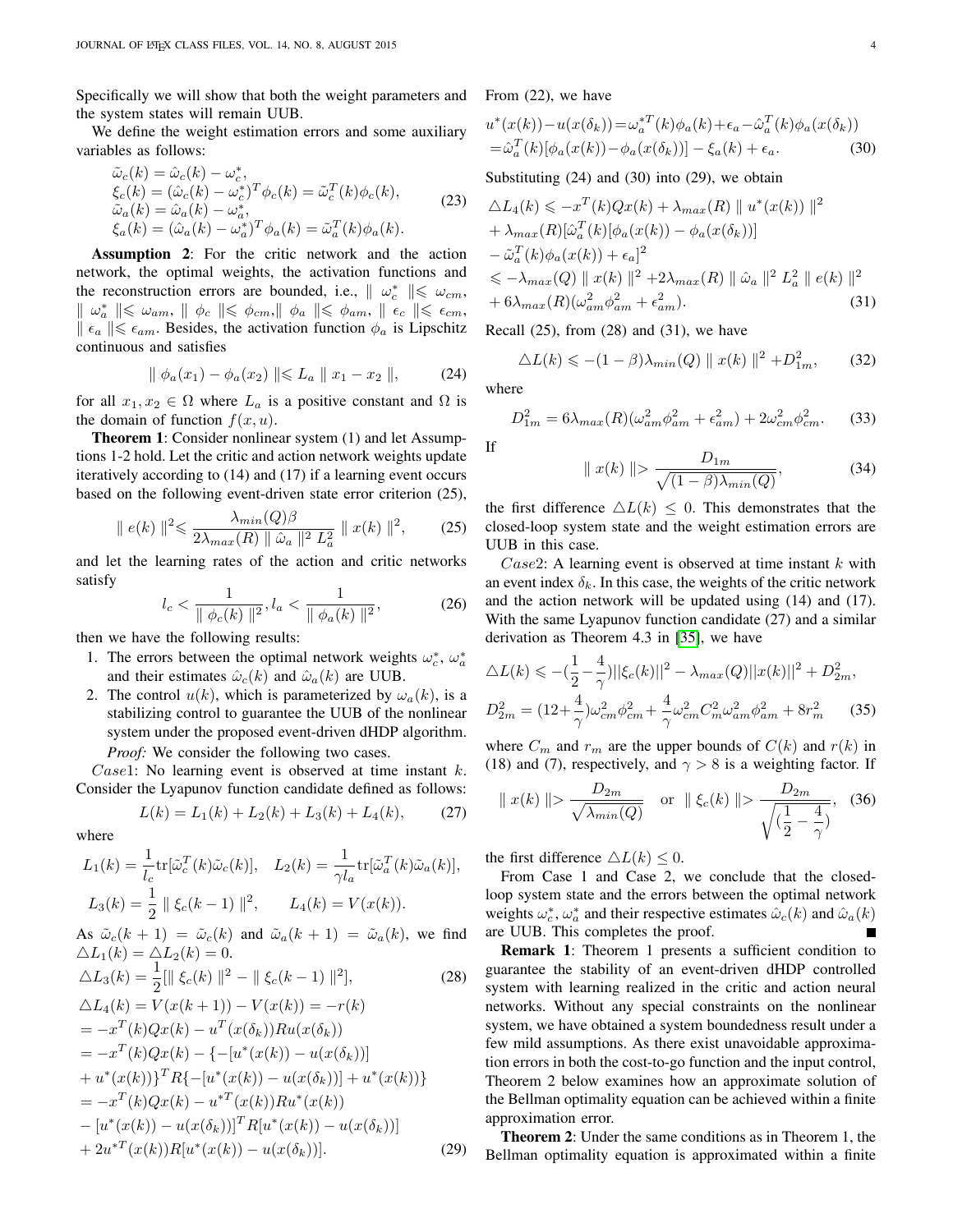Specifically we will show that both the weight parameters and the system states will remain UUB.

We define the weight estimation errors and some auxiliary variables as follows:

$$
\begin{aligned}\n\tilde{\omega}_c(k) &= \hat{\omega}_c(k) - \omega_c^*, \\
\xi_c(k) &= (\hat{\omega}_c(k) - \omega_c^*)^T \phi_c(k) = \tilde{\omega}_c^T(k) \phi_c(k), \\
\tilde{\omega}_a(k) &= \hat{\omega}_a(k) - \omega_a^*, \\
\xi_a(k) &= (\hat{\omega}_a(k) - \omega_a^*)^T \phi_a(k) = \tilde{\omega}_a^T(k) \phi_a(k).\n\end{aligned} \tag{23}
$$

Assumption 2: For the critic network and the action network, the optimal weights, the activation functions and the reconstruction errors are bounded, i.e.,  $\parallel \omega_c^* \parallel \le \omega_{cm}$ ,  $\parallel \omega^*_a \parallel \leqslant \omega_{am}, \parallel \phi_c \parallel \leqslant \phi_{cm}, \parallel \phi_a \parallel \leqslant \phi_{am}, \parallel \epsilon_c \parallel \leqslant \epsilon_{cm},$  $\|\epsilon_a\|\leq \epsilon_{am}$ . Besides, the activation function  $\phi_a$  is Lipschitz continuous and satisfies

$$
\| \phi_a(x_1) - \phi_a(x_2) \| \le L_a \| x_1 - x_2 \|, \qquad (24)
$$

for all  $x_1, x_2 \in \Omega$  where  $L_a$  is a positive constant and  $\Omega$  is the domain of function  $f(x, u)$ .

Theorem 1: Consider nonlinear system (1) and let Assumptions 1-2 hold. Let the critic and action network weights update iteratively according to (14) and (17) if a learning event occurs based on the following event-driven state error criterion (25),

$$
\|e(k)\|^2 \leq \frac{\lambda_{min}(Q)\beta}{2\lambda_{max}(R)\|\hat{\omega}_a\|^2 L_a^2} \|x(k)\|^2, \qquad (25)
$$

and let the learning rates of the action and critic networks satisfy

$$
l_c < \frac{1}{\|\phi_c(k)\|^2}, \quad l_a < \frac{1}{\|\phi_a(k)\|^2},\tag{26}
$$

then we have the following results:

- 1. The errors between the optimal network weights  $\omega_c^*$ ,  $\omega_a^*$ and their estimates  $\hat{\omega}_c(k)$  and  $\hat{\omega}_a(k)$  are UUB.
- 2. The control  $u(k)$ , which is parameterized by  $\omega_a(k)$ , is a stabilizing control to guarantee the UUB of the nonlinear system under the proposed event-driven dHDP algorithm. *Proof:* We consider the following two cases.

*Case*1: No learning event is observed at time instant  $k$ . Consider the Lyapunov function candidate defined as follows:

$$
L(k) = L_1(k) + L_2(k) + L_3(k) + L_4(k), \qquad (27)
$$

where

$$
L_1(k) = \frac{1}{l_c} tr[\tilde{\omega}_c^T(k)\tilde{\omega}_c(k)], \quad L_2(k) = \frac{1}{\gamma l_a} tr[\tilde{\omega}_a^T(k)\tilde{\omega}_a(k)],
$$
  

$$
L_3(k) = \frac{1}{2} ||\xi_c(k-1)||^2, \qquad L_4(k) = V(x(k)).
$$

As  $\tilde{\omega}_c(k+1) = \tilde{\omega}_c(k)$  and  $\tilde{\omega}_a(k+1) = \tilde{\omega}_a(k)$ , we find  $\triangle L_1(k) = \triangle L_2(k) = 0.$ 

$$
\Delta L_3(k) = \frac{1}{2} [\|\xi_c(k)\|^2 - \|\xi_c(k-1)\|^2],
$$
\n(28)  
\n
$$
\Delta L_4(k) = V(x(k+1)) - V(x(k)) = -r(k)
$$
\n
$$
= -x^T(k)Qx(k) - u^T(x(\delta_k))Ru(x(\delta_k))
$$
\n
$$
= -x^T(k)Qx(k) - \{-[u^*(x(k)) - u(x(\delta_k))]\}
$$
\n
$$
+ u^*(x(k))\}^T R\{-[u^*(x(k)) - u(x(\delta_k))] + u^*(x(k))\}
$$
\n
$$
= -x^T(k)Qx(k) - u^{*T}(x(k))Ru^*(x(k))
$$
\n
$$
-[u^*(x(k)) - u(x(\delta_k))]^T R[u^*(x(k)) - u(x(\delta_k))]
$$
\n(29)

From (22), we have

$$
u^*(x(k)) - u(x(\delta_k)) = \omega_a^{*T}(k)\phi_a(k) + \epsilon_a - \hat{\omega}_a^{T}(k)\phi_a(x(\delta_k))
$$
  
=  $\hat{\omega}_a^{T}(k)[\phi_a(x(k)) - \phi_a(x(\delta_k))] - \xi_a(k) + \epsilon_a.$  (30)

Substituting (24) and (30) into (29), we obtain

$$
\Delta L_4(k) \leqslant -x^T(k)Qx(k) + \lambda_{max}(R) ||u^*(x(k))||^2
$$
  
+ 
$$
\lambda_{max}(R)[\hat{\omega}_a^T(k)[\phi_a(x(k)) - \phi_a(x(\delta_k))]
$$
  
- 
$$
\tilde{\omega}_a^T(k)\phi_a(x(k)) + \epsilon_a]^2
$$
  

$$
\leqslant -\lambda_{max}(Q) ||x(k)||^2 + 2\lambda_{max}(R) ||\hat{\omega}_a||^2 L_a^2 ||e(k)||^2
$$
  
+ 
$$
6\lambda_{max}(R)(\omega_{am}^2\phi_{am}^2 + \epsilon_{am}^2).
$$
 (31)

Recall  $(25)$ , from  $(28)$  and  $(31)$ , we have

$$
\Delta L(k) \leqslant -(1-\beta)\lambda_{min}(Q) \parallel x(k) \parallel^{2} + D_{1m}^{2}, \qquad (32)
$$

where

$$
D_{1m}^2 = 6\lambda_{max}(R)(\omega_{am}^2 \phi_{am}^2 + \epsilon_{am}^2) + 2\omega_{cm}^2 \phi_{cm}^2.
$$
 (33)

If

$$
\|x(k)\| > \frac{D_{1m}}{\sqrt{(1-\beta)\lambda_{min}(Q)}},\tag{34}
$$

the first difference  $\Delta L(k) \leq 0$ . This demonstrates that the closed-loop system state and the weight estimation errors are UUB in this case.

 $Case2$ : A learning event is observed at time instant  $k$  with an event index  $\delta_k$ . In this case, the weights of the critic network and the action network will be updated using (14) and (17). With the same Lyapunov function candidate (27) and a similar derivation as Theorem 4.3 in [\[35\]](#page-6-2), we have

$$
\Delta L(k) \leqslant -\left(\frac{1}{2} - \frac{4}{\gamma}\right) ||\xi_c(k)||^2 - \lambda_{max}(Q) ||x(k)||^2 + D_{2m}^2,
$$
  

$$
D_{2m}^2 = (12 + \frac{4}{\gamma})\omega_{cm}^2 \phi_{cm}^2 + \frac{4}{\gamma}\omega_{cm}^2 C_m^2 \omega_{am}^2 \phi_{am}^2 + 8r_m^2
$$
 (35)

where  $C_m$  and  $r_m$  are the upper bounds of  $C(k)$  and  $r(k)$  in (18) and (7), respectively, and  $\gamma > 8$  is a weighting factor. If

$$
|| x(k) || > \frac{D_{2m}}{\sqrt{\lambda_{min}(Q)}}
$$
 or  $|| \xi_c(k) || > \frac{D_{2m}}{\sqrt{(\frac{1}{2} - \frac{4}{\gamma})}}$ , (36)

the first difference  $\Delta L(k) \leq 0$ .

From Case 1 and Case 2, we conclude that the closedloop system state and the errors between the optimal network weights  $\omega_c^*$ ,  $\omega_a^*$  and their respective estimates  $\hat{\omega}_c(k)$  and  $\hat{\omega}_a(k)$ are UUB. This completes the proof. Г

Remark 1: Theorem 1 presents a sufficient condition to guarantee the stability of an event-driven dHDP controlled system with learning realized in the critic and action neural networks. Without any special constraints on the nonlinear system, we have obtained a system boundedness result under a few mild assumptions. As there exist unavoidable approximation errors in both the cost-to-go function and the input control, Theorem 2 below examines how an approximate solution of the Bellman optimality equation can be achieved within a finite approximation error.

Theorem 2: Under the same conditions as in Theorem 1, the Bellman optimality equation is approximated within a finite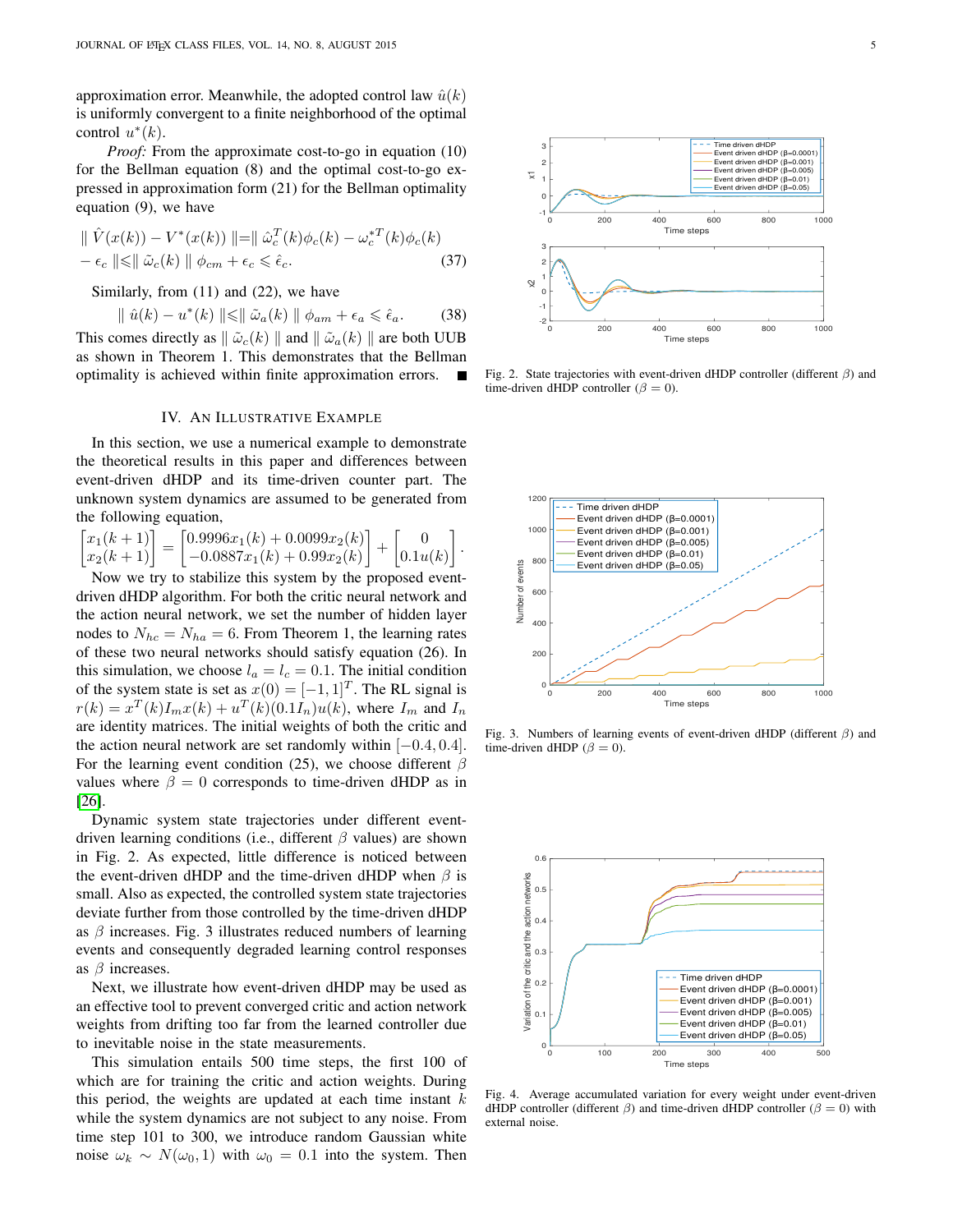approximation error. Meanwhile, the adopted control law  $\hat{u}(k)$ is uniformly convergent to a finite neighborhood of the optimal control  $u^*(k)$ .

*Proof:* From the approximate cost-to-go in equation (10) for the Bellman equation (8) and the optimal cost-to-go expressed in approximation form (21) for the Bellman optimality equation (9), we have

$$
\|\hat{V}(x(k)) - V^*(x(k))\| = \|\hat{\omega}_c^T(k)\phi_c(k) - \omega_c^{*T}(k)\phi_c(k)
$$
  
\n
$$
-\epsilon_c \|\leq \|\tilde{\omega}_c(k)\|\phi_{cm} + \epsilon_c \leq \hat{\epsilon}_c.
$$
 (37)

Similarly, from (11) and (22), we have

$$
\parallel \hat{u}(k) - u^*(k) \parallel \leq \parallel \tilde{\omega}_a(k) \parallel \phi_{am} + \epsilon_a \leq \hat{\epsilon}_a. \tag{38}
$$

This comes directly as  $\|\tilde{\omega}_c(k)\|$  and  $\|\tilde{\omega}_a(k)\|$  are both UUB as shown in Theorem 1. This demonstrates that the Bellman optimality is achieved within finite approximation errors. п

# IV. AN ILLUSTRATIVE EXAMPLE

In this section, we use a numerical example to demonstrate the theoretical results in this paper and differences between event-driven dHDP and its time-driven counter part. The unknown system dynamics are assumed to be generated from the following equation,

$$
\begin{bmatrix} x_1(k+1) \\ x_2(k+1) \end{bmatrix} = \begin{bmatrix} 0.9996x_1(k) + 0.0099x_2(k) \\ -0.0887x_1(k) + 0.99x_2(k) \end{bmatrix} + \begin{bmatrix} 0 \\ 0.1u(k) \end{bmatrix}.
$$

Now we try to stabilize this system by the proposed eventdriven dHDP algorithm. For both the critic neural network and the action neural network, we set the number of hidden layer nodes to  $N_{hc} = N_{ha} = 6$ . From Theorem 1, the learning rates of these two neural networks should satisfy equation (26). In this simulation, we choose  $l_a = l_c = 0.1$ . The initial condition of the system state is set as  $x(0) = [-1, 1]^T$ . The RL signal is  $r(k) = x^T(k)I_mx(k) + u^T(k)(0.1I_n)u(k)$ , where  $I_m$  and  $I_n$ are identity matrices. The initial weights of both the critic and the action neural network are set randomly within  $[-0.4, 0.4]$ . For the learning event condition (25), we choose different  $\beta$ values where  $\beta = 0$  corresponds to time-driven dHDP as in [\[26\]](#page-5-17).

Dynamic system state trajectories under different eventdriven learning conditions (i.e., different  $\beta$  values) are shown in Fig. 2. As expected, little difference is noticed between the event-driven dHDP and the time-driven dHDP when  $\beta$  is small. Also as expected, the controlled system state trajectories deviate further from those controlled by the time-driven dHDP as  $\beta$  increases. Fig. 3 illustrates reduced numbers of learning events and consequently degraded learning control responses as  $\beta$  increases.

Next, we illustrate how event-driven dHDP may be used as an effective tool to prevent converged critic and action network weights from drifting too far from the learned controller due to inevitable noise in the state measurements.

This simulation entails 500 time steps, the first 100 of which are for training the critic and action weights. During this period, the weights are updated at each time instant  $k$ while the system dynamics are not subject to any noise. From time step 101 to 300, we introduce random Gaussian white noise  $\omega_k \sim N(\omega_0, 1)$  with  $\omega_0 = 0.1$  into the system. Then



Fig. 2. State trajectories with event-driven dHDP controller (different  $\beta$ ) and time-driven dHDP controller ( $\beta = 0$ ).



Fig. 3. Numbers of learning events of event-driven dHDP (different  $\beta$ ) and time-driven dHDP ( $\beta = 0$ ).



Fig. 4. Average accumulated variation for every weight under event-driven dHDP controller (different  $\beta$ ) and time-driven dHDP controller ( $\beta = 0$ ) with external noise.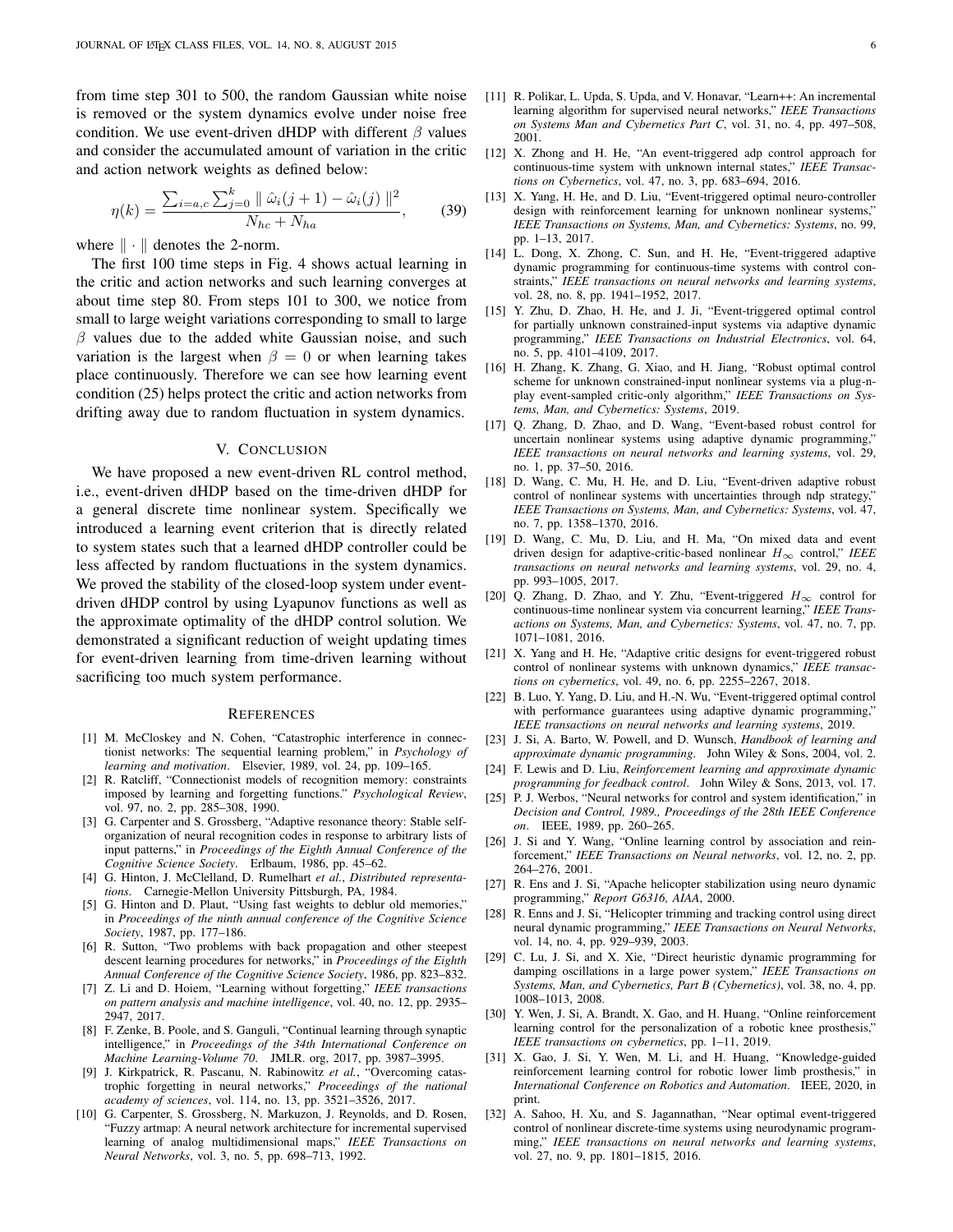from time step 301 to 500, the random Gaussian white noise is removed or the system dynamics evolve under noise free condition. We use event-driven dHDP with different  $\beta$  values and consider the accumulated amount of variation in the critic and action network weights as defined below:

$$
\eta(k) = \frac{\sum_{i=a,c} \sum_{j=0}^{k} \|\hat{\omega}_i(j+1) - \hat{\omega}_i(j)\|^2}{N_{hc} + N_{ha}},
$$
(39)

where  $\|\cdot\|$  denotes the 2-norm.

The first 100 time steps in Fig. 4 shows actual learning in the critic and action networks and such learning converges at about time step 80. From steps 101 to 300, we notice from small to large weight variations corresponding to small to large  $\beta$  values due to the added white Gaussian noise, and such variation is the largest when  $\beta = 0$  or when learning takes place continuously. Therefore we can see how learning event condition (25) helps protect the critic and action networks from drifting away due to random fluctuation in system dynamics.

#### V. CONCLUSION

We have proposed a new event-driven RL control method, i.e., event-driven dHDP based on the time-driven dHDP for a general discrete time nonlinear system. Specifically we introduced a learning event criterion that is directly related to system states such that a learned dHDP controller could be less affected by random fluctuations in the system dynamics. We proved the stability of the closed-loop system under eventdriven dHDP control by using Lyapunov functions as well as the approximate optimality of the dHDP control solution. We demonstrated a significant reduction of weight updating times for event-driven learning from time-driven learning without sacrificing too much system performance.

#### **REFERENCES**

- <span id="page-5-0"></span>[1] M. McCloskey and N. Cohen, "Catastrophic interference in connectionist networks: The sequential learning problem," in *Psychology of learning and motivation*. Elsevier, 1989, vol. 24, pp. 109–165.
- <span id="page-5-1"></span>[2] R. Ratcliff, "Connectionist models of recognition memory: constraints imposed by learning and forgetting functions." *Psychological Review*, vol. 97, no. 2, pp. 285–308, 1990.
- [3] G. Carpenter and S. Grossberg, "Adaptive resonance theory: Stable selforganization of neural recognition codes in response to arbitrary lists of input patterns," in *Proceedings of the Eighth Annual Conference of the Cognitive Science Society*. Erlbaum, 1986, pp. 45–62.
- [4] G. Hinton, J. McClelland, D. Rumelhart *et al.*, *Distributed representations*. Carnegie-Mellon University Pittsburgh, PA, 1984.
- [5] G. Hinton and D. Plaut, "Using fast weights to deblur old memories," in *Proceedings of the ninth annual conference of the Cognitive Science Society*, 1987, pp. 177–186.
- [6] R. Sutton, "Two problems with back propagation and other steepest descent learning procedures for networks," in *Proceedings of the Eighth Annual Conference of the Cognitive Science Society*, 1986, pp. 823–832.
- <span id="page-5-6"></span>[7] Z. Li and D. Hoiem, "Learning without forgetting," *IEEE transactions on pattern analysis and machine intelligence*, vol. 40, no. 12, pp. 2935– 2947, 2017.
- <span id="page-5-2"></span>[8] F. Zenke, B. Poole, and S. Ganguli, "Continual learning through synaptic intelligence," in *Proceedings of the 34th International Conference on Machine Learning-Volume 70*. JMLR. org, 2017, pp. 3987–3995.
- <span id="page-5-3"></span>[9] J. Kirkpatrick, R. Pascanu, N. Rabinowitz *et al.*, "Overcoming catastrophic forgetting in neural networks," *Proceedings of the national academy of sciences*, vol. 114, no. 13, pp. 3521–3526, 2017.
- <span id="page-5-4"></span>[10] G. Carpenter, S. Grossberg, N. Markuzon, J. Reynolds, and D. Rosen, "Fuzzy artmap: A neural network architecture for incremental supervised learning of analog multidimensional maps," *IEEE Transactions on Neural Networks*, vol. 3, no. 5, pp. 698–713, 1992.
- <span id="page-5-5"></span>[11] R. Polikar, L. Upda, S. Upda, and V. Honavar, "Learn++: An incremental learning algorithm for supervised neural networks," *IEEE Transactions on Systems Man and Cybernetics Part C*, vol. 31, no. 4, pp. 497–508, 2001.
- <span id="page-5-7"></span>[12] X. Zhong and H. He, "An event-triggered adp control approach for continuous-time system with unknown internal states," *IEEE Transactions on Cybernetics*, vol. 47, no. 3, pp. 683–694, 2016.
- <span id="page-5-8"></span>[13] X. Yang, H. He, and D. Liu, "Event-triggered optimal neuro-controller design with reinforcement learning for unknown nonlinear systems," *IEEE Transactions on Systems, Man, and Cybernetics: Systems*, no. 99, pp. 1–13, 2017.
- <span id="page-5-9"></span>[14] L. Dong, X. Zhong, C. Sun, and H. He, "Event-triggered adaptive dynamic programming for continuous-time systems with control constraints," *IEEE transactions on neural networks and learning systems*, vol. 28, no. 8, pp. 1941–1952, 2017.
- [15] Y. Zhu, D. Zhao, H. He, and J. Ji, "Event-triggered optimal control for partially unknown constrained-input systems via adaptive dynamic programming," *IEEE Transactions on Industrial Electronics*, vol. 64, no. 5, pp. 4101–4109, 2017.
- <span id="page-5-10"></span>[16] H. Zhang, K. Zhang, G. Xiao, and H. Jiang, "Robust optimal control scheme for unknown constrained-input nonlinear systems via a plug-nplay event-sampled critic-only algorithm," *IEEE Transactions on Systems, Man, and Cybernetics: Systems*, 2019.
- <span id="page-5-11"></span>[17] Q. Zhang, D. Zhao, and D. Wang, "Event-based robust control for uncertain nonlinear systems using adaptive dynamic programming," *IEEE transactions on neural networks and learning systems*, vol. 29, no. 1, pp. 37–50, 2016.
- [18] D. Wang, C. Mu, H. He, and D. Liu, "Event-driven adaptive robust control of nonlinear systems with uncertainties through ndp strategy," *IEEE Transactions on Systems, Man, and Cybernetics: Systems*, vol. 47, no. 7, pp. 1358–1370, 2016.
- [19] D. Wang, C. Mu, D. Liu, and H. Ma, "On mixed data and event driven design for adaptive-critic-based nonlinear H∞ control," *IEEE transactions on neural networks and learning systems*, vol. 29, no. 4, pp. 993–1005, 2017.
- [20] Q. Zhang, D. Zhao, and Y. Zhu, "Event-triggered  $H_{\infty}$  control for continuous-time nonlinear system via concurrent learning," *IEEE Transactions on Systems, Man, and Cybernetics: Systems*, vol. 47, no. 7, pp. 1071–1081, 2016.
- <span id="page-5-12"></span>[21] X. Yang and H. He, "Adaptive critic designs for event-triggered robust control of nonlinear systems with unknown dynamics," *IEEE transactions on cybernetics*, vol. 49, no. 6, pp. 2255–2267, 2018.
- <span id="page-5-13"></span>[22] B. Luo, Y. Yang, D. Liu, and H.-N. Wu, "Event-triggered optimal control with performance guarantees using adaptive dynamic programming," *IEEE transactions on neural networks and learning systems*, 2019.
- <span id="page-5-14"></span>[23] J. Si, A. Barto, W. Powell, and D. Wunsch, *Handbook of learning and approximate dynamic programming*. John Wiley & Sons, 2004, vol. 2.
- <span id="page-5-15"></span>[24] F. Lewis and D. Liu, *Reinforcement learning and approximate dynamic programming for feedback control*. John Wiley & Sons, 2013, vol. 17.
- <span id="page-5-16"></span>[25] P. J. Werbos, "Neural networks for control and system identification," in *Decision and Control, 1989., Proceedings of the 28th IEEE Conference on*. IEEE, 1989, pp. 260–265.
- <span id="page-5-17"></span>[26] J. Si and Y. Wang, "Online learning control by association and reinforcement," *IEEE Transactions on Neural networks*, vol. 12, no. 2, pp. 264–276, 2001.
- <span id="page-5-18"></span>[27] R. Ens and J. Si, "Apache helicopter stabilization using neuro dynamic programming," *Report G6316, AIAA*, 2000.
- <span id="page-5-19"></span>[28] R. Enns and J. Si, "Helicopter trimming and tracking control using direct neural dynamic programming," *IEEE Transactions on Neural Networks*, vol. 14, no. 4, pp. 929–939, 2003.
- <span id="page-5-20"></span>[29] C. Lu, J. Si, and X. Xie, "Direct heuristic dynamic programming for damping oscillations in a large power system," *IEEE Transactions on Systems, Man, and Cybernetics, Part B (Cybernetics)*, vol. 38, no. 4, pp. 1008–1013, 2008.
- <span id="page-5-21"></span>[30] Y. Wen, J. Si, A. Brandt, X. Gao, and H. Huang, "Online reinforcement learning control for the personalization of a robotic knee prosthesis," *IEEE transactions on cybernetics*, pp. 1–11, 2019.
- <span id="page-5-22"></span>[31] X. Gao, J. Si, Y. Wen, M. Li, and H. Huang, "Knowledge-guided reinforcement learning control for robotic lower limb prosthesis," in *International Conference on Robotics and Automation*. IEEE, 2020, in print.
- <span id="page-5-23"></span>[32] A. Sahoo, H. Xu, and S. Jagannathan, "Near optimal event-triggered control of nonlinear discrete-time systems using neurodynamic programming," *IEEE transactions on neural networks and learning systems*, vol. 27, no. 9, pp. 1801–1815, 2016.